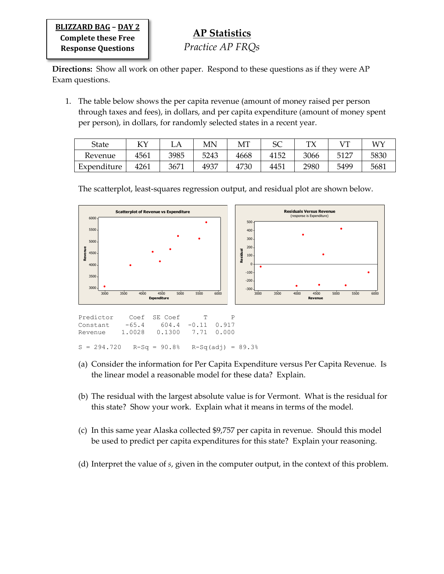**BLIZZARD BAG – DAY 2 Complete these Free Response Questions**

**Directions:** Show all work on other paper. Respond to these questions as if they were AP Exam questions.

1. The table below shows the per capita revenue (amount of money raised per person through taxes and fees), in dollars, and per capita expenditure (amount of money spent per person), in dollars, for randomly selected states in a recent year.

| State       | v١   | LA   | МN   | MT   | cc<br>ЭČ | тv   |      | WΥ   |
|-------------|------|------|------|------|----------|------|------|------|
| Revenue     | 4561 | 3985 | 5243 | 4668 | 4152     | 3066 | 5127 | 5830 |
| Expenditure | 4261 | 3671 | 4937 | 4730 | 4451     | 2980 | 5499 | 5681 |

3000 3500 4000 4500 5000 5500 6000 6000 550 5000 4500 **Revenue** 4000 3500 3000 **Exp Scatterplot of Revenue vs Expenditure**



Predictor Coef SE Coef T P Constant -65.4 604.4 -0.11 0.917 Revenue 1.0028 0.1300 7.71 0.000  $S = 294.720$  R-Sq = 90.8% R-Sq(adj) = 89.3%

- (a) Consider the information for Per Capita Expenditure versus Per Capita Revenue. Is the linear model a reasonable model for these data? Explain.
- (b) The residual with the largest absolute value is for Vermont. What is the residual for this state? Show your work. Explain what it means in terms of the model.
- (c) In this same year Alaska collected \$9,757 per capita in revenue. Should this model be used to predict per capita expenditures for this state? Explain your reasoning.
- (d) Interpret the value of *s*, given in the computer output, in the context of this problem.

The scatterplot, least-squares regression output, and residual plot are shown below.